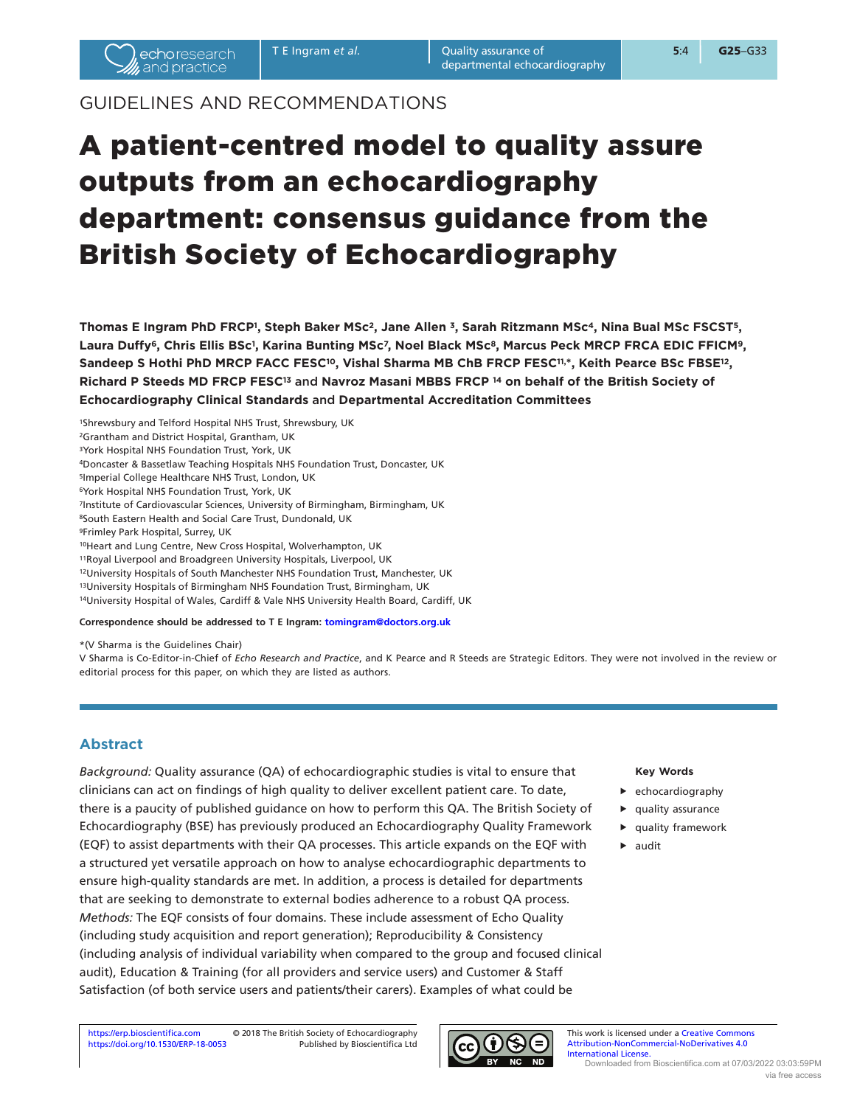# GUIDELINES AND RECOMMENDATIONS

# A patient-centred model to quality assure outputs from an echocardiography department: consensus guidance from the British Society of Echocardiography

Thomas E Ingram PhD FRCP<sup>1</sup>, Steph Baker MSc<sup>2</sup>, Jane Allen <sup>3</sup>, Sarah Ritzmann MSc<sup>4</sup>, Nina Bual MSc FSCST<sup>5</sup>, **Laura Duffy6, Chris Ellis BSc1, Karina Bunting MSc7, Noel Black MSc8, Marcus Peck MRCP FRCA EDIC FFICM9, Sandeep S Hothi PhD MRCP FACC FESC10, Vishal Sharma MB ChB FRCP FESC11, \*, Keith Pearce BSc FBSE12, Richard P Steeds MD FRCP FESC13** and **Navroz Masani MBBS FRCP 14 on behalf of the British Society of Echocardiography Clinical Standards** and **Departmental Accreditation Committees** 

1Shrewsbury and Telford Hospital NHS Trust, Shrewsbury, UK

2Grantham and District Hospital, Grantham, UK

3York Hospital NHS Foundation Trust, York, UK

4Doncaster & Bassetlaw Teaching Hospitals NHS Foundation Trust, Doncaster, UK

5Imperial College Healthcare NHS Trust, London, UK

6York Hospital NHS Foundation Trust, York, UK

7Institute of Cardiovascular Sciences, University of Birmingham, Birmingham, UK

8South Eastern Health and Social Care Trust, Dundonald, UK

9Frimley Park Hospital, Surrey, UK

10Heart and Lung Centre, New Cross Hospital, Wolverhampton, UK

11Royal Liverpool and Broadgreen University Hospitals, Liverpool, UK

12University Hospitals of South Manchester NHS Foundation Trust, Manchester, UK

13University Hospitals of Birmingham NHS Foundation Trust, Birmingham, UK

14University Hospital of Wales, Cardiff & Vale NHS University Health Board, Cardiff, UK

#### **Correspondence should be addressed to T E Ingram: [tomingram@doctors.org.uk](mailto:tomingram@doctors.org.uk)**

\*(V Sharma is the Guidelines Chair)

V Sharma is Co-Editor-in-Chief of *Echo Research and Practice*, and K Pearce and R Steeds are Strategic Editors. They were not involved in the review or editorial process for this paper, on which they are listed as authors.

## **Abstract**

*Background:* Quality assurance (QA) of echocardiographic studies is vital to ensure that clinicians can act on findings of high quality to deliver excellent patient care. To date, there is a paucity of published guidance on how to perform this QA. The British Society of Echocardiography (BSE) has previously produced an Echocardiography Quality Framework (EQF) to assist departments with their QA processes. This article expands on the EQF with a structured yet versatile approach on how to analyse echocardiographic departments to ensure high-quality standards are met. In addition, a process is detailed for departments that are seeking to demonstrate to external bodies adherence to a robust QA process. *Methods:* The EQF consists of four domains. These include assessment of Echo Quality (including study acquisition and report generation); Reproducibility & Consistency (including analysis of individual variability when compared to the group and focused clinical audit), Education & Training (for all providers and service users) and Customer & Staff Satisfaction (of both service users and patients/their carers). Examples of what could be

#### **Key Words**

- $\blacktriangleright$  echocardiography
- $\blacktriangleright$  quality assurance
- $\blacktriangleright$  quality framework
- $\blacktriangleright$  audit



This work is licensed under a Creative Commons [Attribution-NonCommercial-NoDerivatives 4.0](https://creativecommons.org/licenses/by-nc-nd/4.0/)  [International License.](https://creativecommons.org/licenses/by-nc-nd/4.0/) Downloaded from Bioscientifica.com at 07/03/2022 03:03:59PM via free access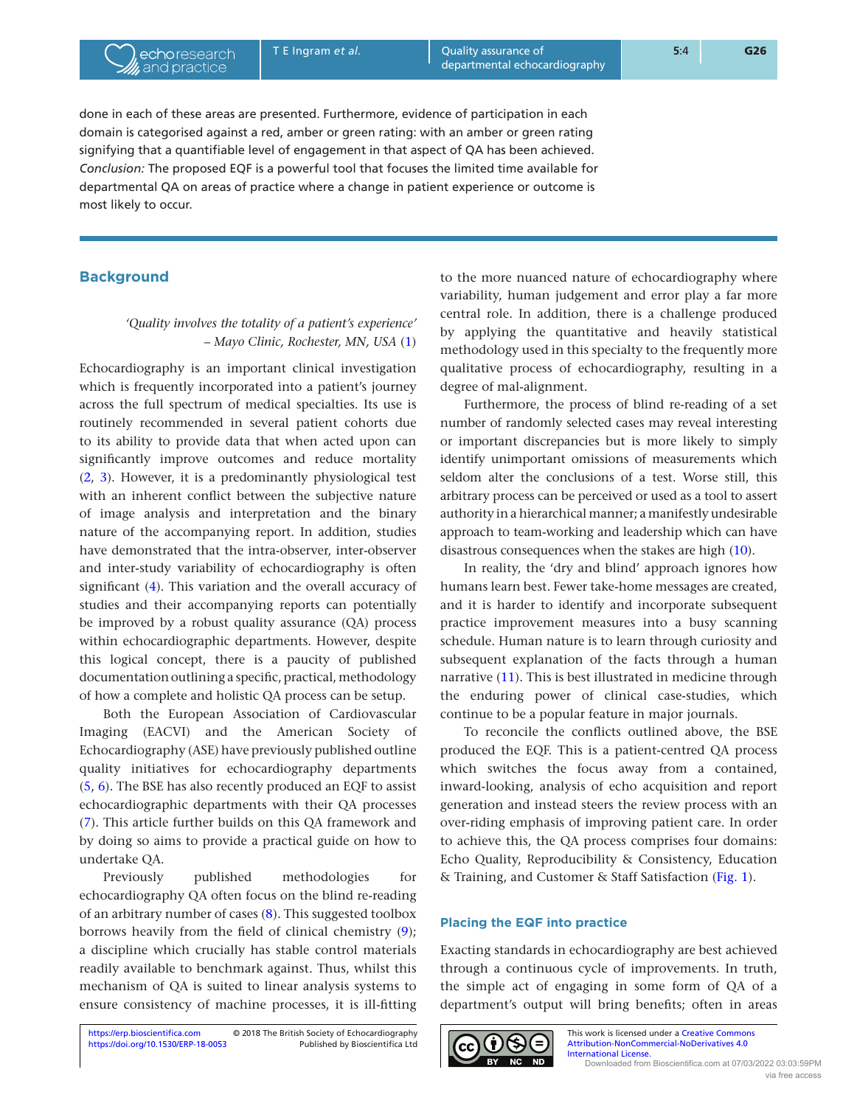T E Ingram et al. **C** Quality assurance of **5**:4 **5**:4 **G26** departmental echocardiography

done in each of these areas are presented. Furthermore, evidence of participation in each domain is categorised against a red, amber or green rating: with an amber or green rating signifying that a quantifiable level of engagement in that aspect of QA has been achieved. *Conclusion:* The proposed EQF is a powerful tool that focuses the limited time available for departmental QA on areas of practice where a change in patient experience or outcome is most likely to occur.

## **Background**

## *'Quality involves the totality of a patient's experience'* – *Mayo Clinic, Rochester, MN, USA* [\(1\)](#page-8-0)

Echocardiography is an important clinical investigation which is frequently incorporated into a patient's journey across the full spectrum of medical specialties. Its use is routinely recommended in several patient cohorts due to its ability to provide data that when acted upon can significantly improve outcomes and reduce mortality ([2,](#page-8-1) [3\)](#page-8-2). However, it is a predominantly physiological test with an inherent conflict between the subjective nature of image analysis and interpretation and the binary nature of the accompanying report. In addition, studies have demonstrated that the intra-observer, inter-observer and inter-study variability of echocardiography is often significant ([4\)](#page-8-3). This variation and the overall accuracy of studies and their accompanying reports can potentially be improved by a robust quality assurance (QA) process within echocardiographic departments. However, despite this logical concept, there is a paucity of published documentation outlining a specific, practical, methodology of how a complete and holistic QA process can be setup.

Both the European Association of Cardiovascular Imaging (EACVI) and the American Society of Echocardiography (ASE) have previously published outline quality initiatives for echocardiography departments ([5](#page-8-4), [6](#page-8-5)). The BSE has also recently produced an EQF to assist echocardiographic departments with their QA processes ([7](#page-8-6)). This article further builds on this QA framework and by doing so aims to provide a practical guide on how to undertake QA.

Previously published methodologies for echocardiography QA often focus on the blind re-reading of an arbitrary number of cases ([8](#page-8-7)). This suggested toolbox borrows heavily from the field of clinical chemistry ([9\)](#page-8-8); a discipline which crucially has stable control materials readily available to benchmark against. Thus, whilst this mechanism of QA is suited to linear analysis systems to ensure consistency of machine processes, it is ill-fitting

to the more nuanced nature of echocardiography where variability, human judgement and error play a far more central role. In addition, there is a challenge produced by applying the quantitative and heavily statistical methodology used in this specialty to the frequently more qualitative process of echocardiography, resulting in a degree of mal-alignment.

Furthermore, the process of blind re-reading of a set number of randomly selected cases may reveal interesting or important discrepancies but is more likely to simply identify unimportant omissions of measurements which seldom alter the conclusions of a test. Worse still, this arbitrary process can be perceived or used as a tool to assert authority in a hierarchical manner; a manifestly undesirable approach to team-working and leadership which can have disastrous consequences when the stakes are high [\(10](#page-8-9)).

In reality, the 'dry and blind' approach ignores how humans learn best. Fewer take-home messages are created, and it is harder to identify and incorporate subsequent practice improvement measures into a busy scanning schedule. Human nature is to learn through curiosity and subsequent explanation of the facts through a human narrative ([11](#page-8-10)). This is best illustrated in medicine through the enduring power of clinical case-studies, which continue to be a popular feature in major journals.

To reconcile the conflicts outlined above, the BSE produced the EQF. This is a patient-centred QA process which switches the focus away from a contained, inward-looking, analysis of echo acquisition and report generation and instead steers the review process with an over-riding emphasis of improving patient care. In order to achieve this, the QA process comprises four domains: Echo Quality, Reproducibility & Consistency, Education & Training, and Customer & Staff Satisfaction [\(Fig. 1\)](#page-2-0).

## **Placing the EQF into practice**

Exacting standards in echocardiography are best achieved through a continuous cycle of improvements. In truth, the simple act of engaging in some form of QA of a department's output will bring benefits; often in areas

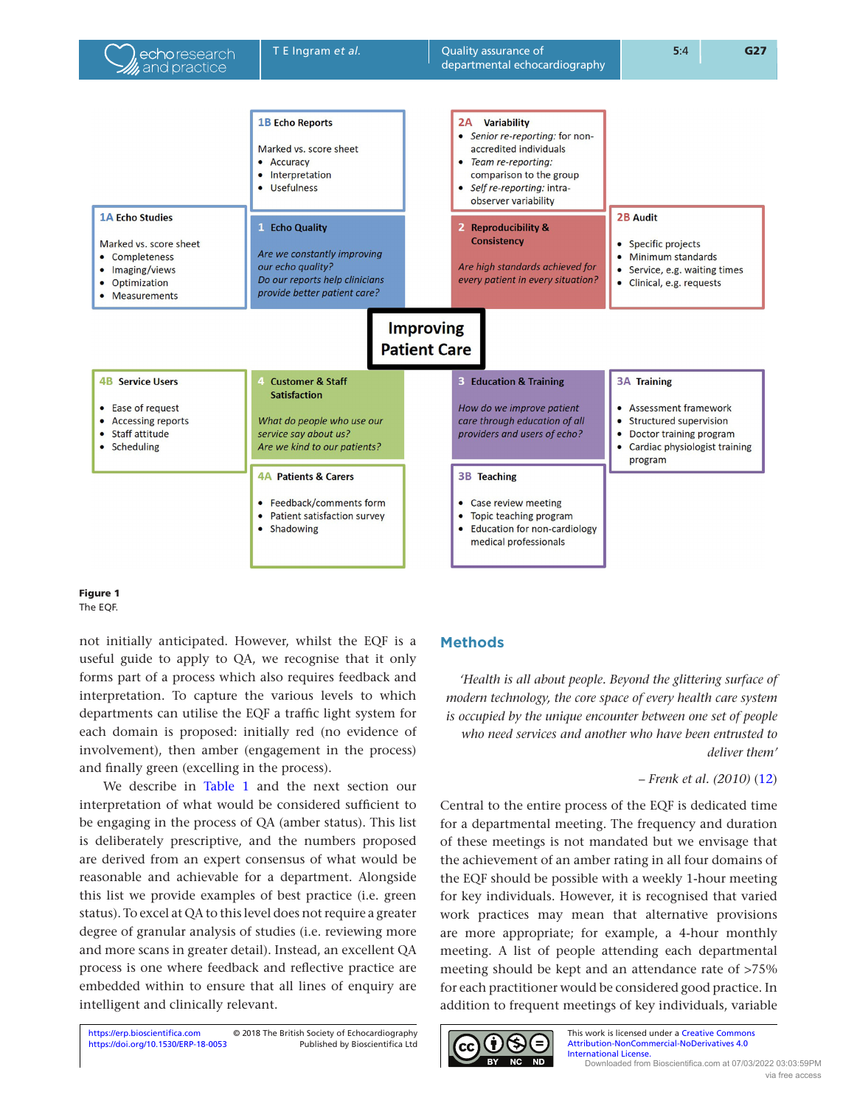<span id="page-2-0"></span>

## Figure 1 The EQF.

not initially anticipated. However, whilst the EQF is a useful guide to apply to QA, we recognise that it only forms part of a process which also requires feedback and interpretation. To capture the various levels to which departments can utilise the EQF a traffic light system for each domain is proposed: initially red (no evidence of involvement), then amber (engagement in the process) and finally green (excelling in the process).

We describe in Table 1 and the next section our interpretation of what would be considered sufficient to be engaging in the process of QA (amber status). This list is deliberately prescriptive, and the numbers proposed are derived from an expert consensus of what would be reasonable and achievable for a department. Alongside this list we provide examples of best practice (i.e. green status). To excel at QA to this level does not require a greater degree of granular analysis of studies (i.e. reviewing more and more scans in greater detail). Instead, an excellent QA process is one where feedback and reflective practice are embedded within to ensure that all lines of enquiry are intelligent and clinically relevant.

#### <https://doi.org/10.1530/ERP-18-0053> <https://erp.bioscientifica.com> © 2018 The British Society of Echocardiography Published by Bioscientifica Ltd

## **Methods**

*'Health is all about people. Beyond the glittering surface of modern technology, the core space of every health care system is occupied by the unique encounter between one set of people who need services and another who have been entrusted to deliver them'*

## – *Frenk et al. (2010)* [\(12\)](#page-8-11)

Central to the entire process of the EQF is dedicated time for a departmental meeting. The frequency and duration of these meetings is not mandated but we envisage that the achievement of an amber rating in all four domains of the EQF should be possible with a weekly 1-hour meeting for key individuals. However, it is recognised that varied work practices may mean that alternative provisions are more appropriate; for example, a 4-hour monthly meeting. A list of people attending each departmental meeting should be kept and an attendance rate of >75% for each practitioner would be considered good practice. In addition to frequent meetings of key individuals, variable

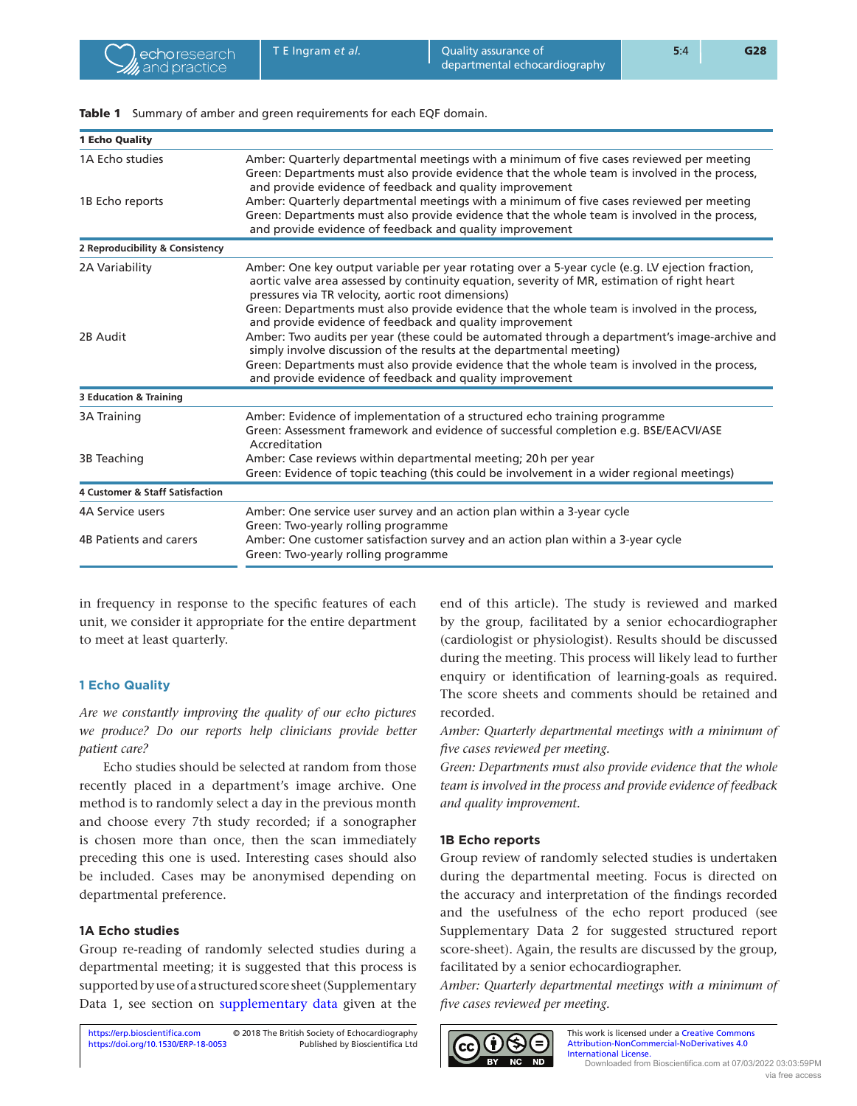| <b>1 Echo Quality</b>                      |                                                                                                                                                                                                                                                        |
|--------------------------------------------|--------------------------------------------------------------------------------------------------------------------------------------------------------------------------------------------------------------------------------------------------------|
| 1A Echo studies                            | Amber: Quarterly departmental meetings with a minimum of five cases reviewed per meeting<br>Green: Departments must also provide evidence that the whole team is involved in the process,<br>and provide evidence of feedback and quality improvement  |
| 1B Echo reports                            | Amber: Quarterly departmental meetings with a minimum of five cases reviewed per meeting<br>Green: Departments must also provide evidence that the whole team is involved in the process,<br>and provide evidence of feedback and quality improvement  |
| 2 Reproducibility & Consistency            |                                                                                                                                                                                                                                                        |
| 2A Variability                             | Amber: One key output variable per year rotating over a 5-year cycle (e.g. LV ejection fraction,<br>aortic valve area assessed by continuity equation, severity of MR, estimation of right heart<br>pressures via TR velocity, aortic root dimensions) |
|                                            | Green: Departments must also provide evidence that the whole team is involved in the process,<br>and provide evidence of feedback and quality improvement                                                                                              |
| 2B Audit                                   | Amber: Two audits per year (these could be automated through a department's image-archive and<br>simply involve discussion of the results at the departmental meeting)                                                                                 |
|                                            | Green: Departments must also provide evidence that the whole team is involved in the process,<br>and provide evidence of feedback and quality improvement                                                                                              |
| <b>3 Education &amp; Training</b>          |                                                                                                                                                                                                                                                        |
| <b>3A Training</b>                         | Amber: Evidence of implementation of a structured echo training programme<br>Green: Assessment framework and evidence of successful completion e.g. BSE/EACVI/ASE<br>Accreditation                                                                     |
| 3B Teaching                                | Amber: Case reviews within departmental meeting; 20h per year<br>Green: Evidence of topic teaching (this could be involvement in a wider regional meetings)                                                                                            |
| <b>4 Customer &amp; Staff Satisfaction</b> |                                                                                                                                                                                                                                                        |
| 4A Service users                           | Amber: One service user survey and an action plan within a 3-year cycle<br>Green: Two-yearly rolling programme                                                                                                                                         |
| 4B Patients and carers                     | Amber: One customer satisfaction survey and an action plan within a 3-year cycle<br>Green: Two-yearly rolling programme                                                                                                                                |
|                                            |                                                                                                                                                                                                                                                        |

<span id="page-3-0"></span>Table 1 Summary of amber and green requirements for each EQF domain.

in frequency in response to the specific features of each unit, we consider it appropriate for the entire department to meet at least quarterly.

## **1 Echo Quality**

*Are we constantly improving the quality of our echo pictures we produce? Do our reports help clinicians provide better patient care?*

Echo studies should be selected at random from those recently placed in a department's image archive. One method is to randomly select a day in the previous month and choose every 7th study recorded; if a sonographer is chosen more than once, then the scan immediately preceding this one is used. Interesting cases should also be included. Cases may be anonymised depending on departmental preference.

## **1A Echo studies**

Group re-reading of randomly selected studies during a departmental meeting; it is suggested that this process is supported by use of a structured score sheet (Supplementary Data 1, see section on [supplementary data](#page-8-12) given at the end of this article). The study is reviewed and marked by the group, facilitated by a senior echocardiographer (cardiologist or physiologist). Results should be discussed during the meeting. This process will likely lead to further enquiry or identification of learning-goals as required. The score sheets and comments should be retained and recorded.

*Amber: Quarterly departmental meetings with a minimum of five cases reviewed per meeting.*

*Green: Departments must also provide evidence that the whole team is involved in the process and provide evidence of feedback and quality improvement.*

## **1B Echo reports**

Group review of randomly selected studies is undertaken during the departmental meeting. Focus is directed on the accuracy and interpretation of the findings recorded and the usefulness of the echo report produced (see Supplementary Data 2 for suggested structured report score-sheet). Again, the results are discussed by the group, facilitated by a senior echocardiographer.

*Amber: Quarterly departmental meetings with a minimum of five cases reviewed per meeting.*

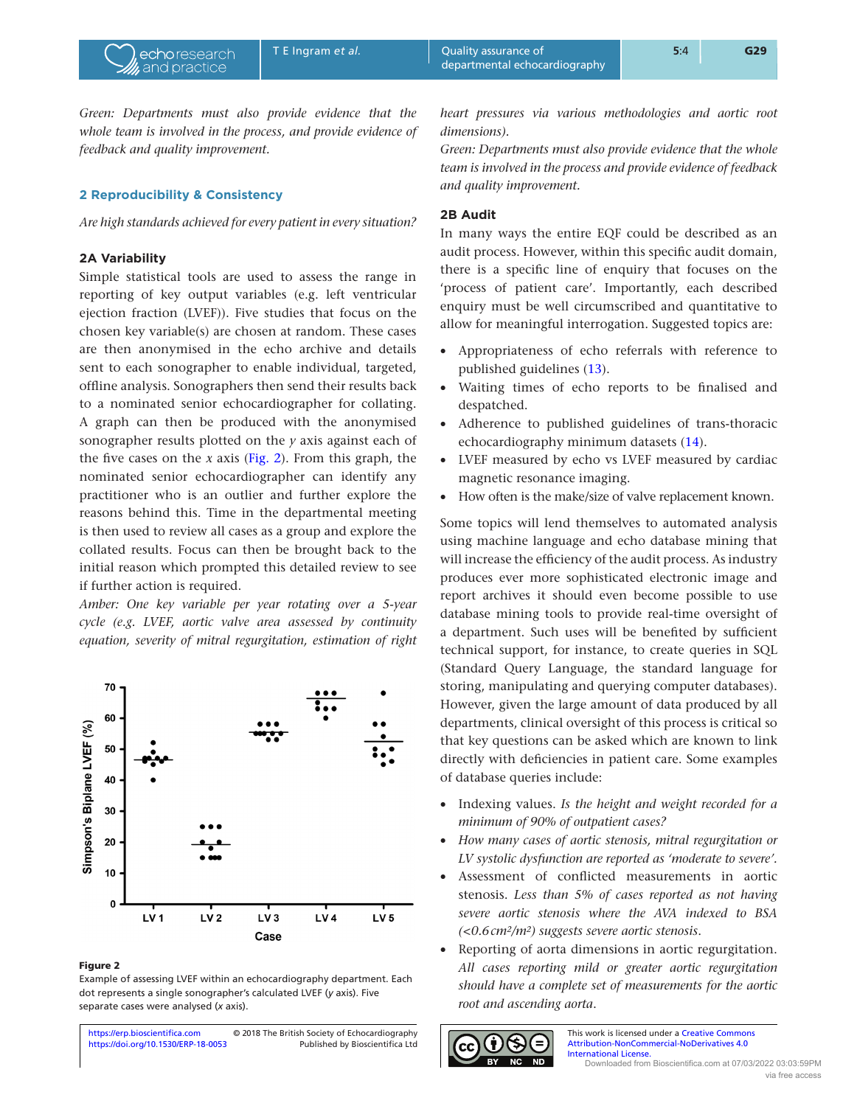*heart pressures via various methodologies and aortic root dimensions).*

> *Green: Departments must also provide evidence that the whole team is involved in the process and provide evidence of feedback and quality improvement.*

## **2B Audit**

In many ways the entire EQF could be described as an audit process. However, within this specific audit domain, there is a specific line of enquiry that focuses on the 'process of patient care'. Importantly, each described enquiry must be well circumscribed and quantitative to allow for meaningful interrogation. Suggested topics are:

- Appropriateness of echo referrals with reference to published guidelines [\(13](#page-8-13)).
- Waiting times of echo reports to be finalised and despatched.
- Adherence to published guidelines of trans-thoracic echocardiography minimum datasets ([14\)](#page-8-14).
- LVEF measured by echo vs LVEF measured by cardiac magnetic resonance imaging.
- How often is the make/size of valve replacement known.

Some topics will lend themselves to automated analysis using machine language and echo database mining that will increase the efficiency of the audit process. As industry produces ever more sophisticated electronic image and report archives it should even become possible to use database mining tools to provide real-time oversight of a department. Such uses will be benefited by sufficient technical support, for instance, to create queries in SQL (Standard Query Language, the standard language for storing, manipulating and querying computer databases). However, given the large amount of data produced by all departments, clinical oversight of this process is critical so that key questions can be asked which are known to link directly with deficiencies in patient care. Some examples of database queries include:

- Indexing values. *Is the height and weight recorded for a minimum of 90% of outpatient cases?*
- *How many cases of aortic stenosis, mitral regurgitation or LV systolic dysfunction are reported as 'moderate to severe'.*
- Assessment of conflicted measurements in aortic stenosis. *Less than 5% of cases reported as not having severe aortic stenosis where the AVA indexed to BSA (<0.6cm2/m2) suggests severe aortic stenosis*.
- Reporting of aorta dimensions in aortic regurgitation. *All cases reporting mild or greater aortic regurgitation should have a complete set of measurements for the aortic root and ascending aorta*.



This work is licensed under a Creative Commons [Attribution-NonCommercial-NoDerivatives 4.0](https://creativecommons.org/licenses/by-nc-nd/4.0/)  [International License.](https://creativecommons.org/licenses/by-nc-nd/4.0/) Downloaded from Bioscientifica.com at 07/03/2022 03:03:59PM via free access

<span id="page-4-0"></span>*Green: Departments must also provide evidence that the whole team is involved in the process, and provide evidence of feedback and quality improvement.*

## **2 Reproducibility & Consistency**

*Are high standards achieved for every patient in every situation?*

## **2A Variability**

Simple statistical tools are used to assess the range in reporting of key output variables (e.g. left ventricular ejection fraction (LVEF)). Five studies that focus on the chosen key variable(s) are chosen at random. These cases are then anonymised in the echo archive and details sent to each sonographer to enable individual, targeted, offline analysis. Sonographers then send their results back to a nominated senior echocardiographer for collating. A graph can then be produced with the anonymised sonographer results plotted on the *y* axis against each of the five cases on the  $x$  axis (Fig. 2). From this graph, the nominated senior echocardiographer can identify any practitioner who is an outlier and further explore the reasons behind this. Time in the departmental meeting is then used to review all cases as a group and explore the collated results. Focus can then be brought back to the initial reason which prompted this detailed review to see if further action is required.

*Amber: One key variable per year rotating over a 5-year cycle (e.g. LVEF, aortic valve area assessed by continuity equation, severity of mitral regurgitation, estimation of right* 



#### Figure 2

Example of assessing LVEF within an echocardiography department. Each dot represents a single sonographer's calculated LVEF (*y* axis). Five separate cases were analysed (*x* axis).

<https://doi.org/10.1530/ERP-18-0053> <https://erp.bioscientifica.com> © 2018 The British Society of Echocardiography Published by Bioscientifica Ltd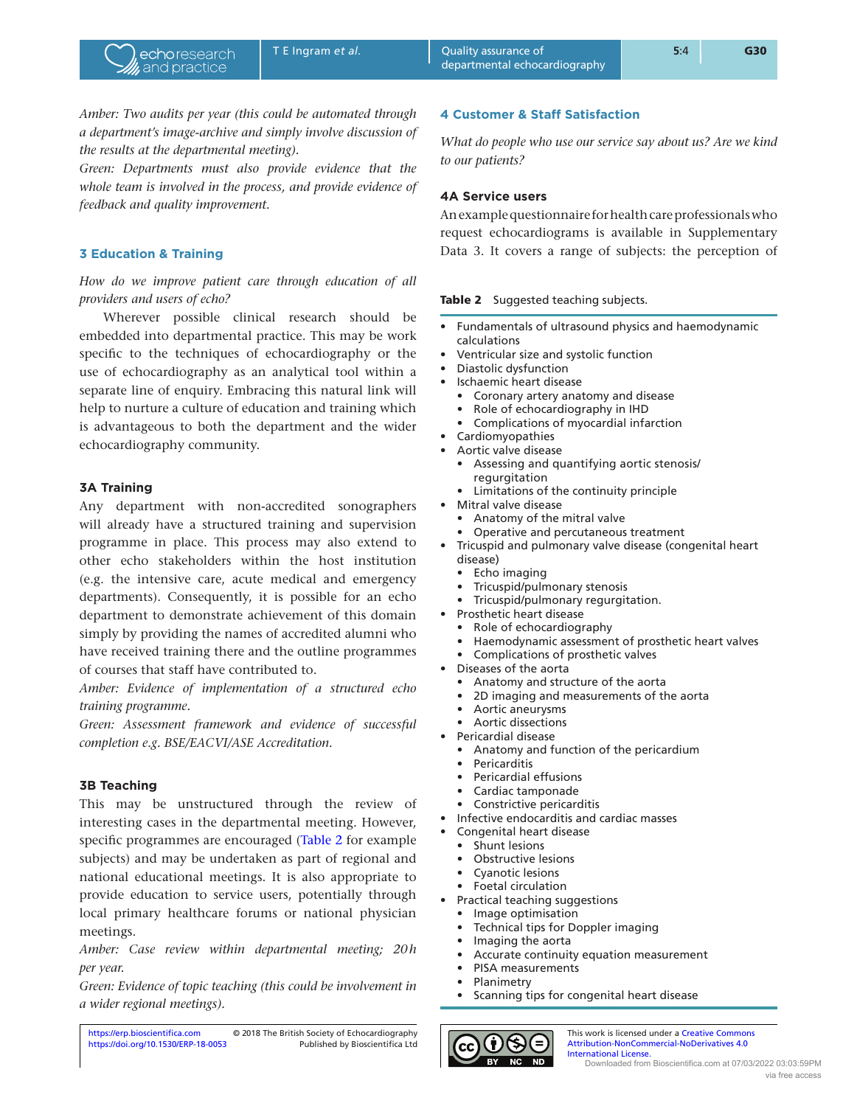*Amber: Two audits per year (this could be automated through a department's image-archive and simply involve discussion of the results at the departmental meeting).*

*Green: Departments must also provide evidence that the whole team is involved in the process, and provide evidence of feedback and quality improvement.*

## **3 Education & Training**

*How do we improve patient care through education of all providers and users of echo?*

Wherever possible clinical research should be embedded into departmental practice. This may be work specific to the techniques of echocardiography or the use of echocardiography as an analytical tool within a separate line of enquiry. Embracing this natural link will help to nurture a culture of education and training which is advantageous to both the department and the wider echocardiography community.

## **3A Training**

Any department with non-accredited sonographers will already have a structured training and supervision programme in place. This process may also extend to other echo stakeholders within the host institution (e.g. the intensive care, acute medical and emergency departments). Consequently, it is possible for an echo department to demonstrate achievement of this domain simply by providing the names of accredited alumni who have received training there and the outline programmes of courses that staff have contributed to.

*Amber: Evidence of implementation of a structured echo training programme.*

*Green: Assessment framework and evidence of successful completion e.g. BSE/EACVI/ASE Accreditation.*

## **3B Teaching**

This may be unstructured through the review of interesting cases in the departmental meeting. However, specific programmes are encouraged (Table 2 for example subjects) and may be undertaken as part of regional and national educational meetings. It is also appropriate to provide education to service users, potentially through local primary healthcare forums or national physician meetings.

*Amber: Case review within departmental meeting; 20h per year.*

*Green: Evidence of topic teaching (this could be involvement in a wider regional meetings).*

## **4 Customer & Staff Satisfaction**

*What do people who use our service say about us? Are we kind to our patients?*

## **4A Service users**

An example questionnaire for health care professionals who request echocardiograms is available in Supplementary Data 3. It covers a range of subjects: the perception of

## Table 2 Suggested teaching subjects.

- Fundamentals of ultrasound physics and haemodynamic calculations
- Ventricular size and systolic function
- Diastolic dysfunction
- Ischaemic heart disease
- Coronary artery anatomy and disease
- Role of echocardiography in IHD
- Complications of myocardial infarction
- Cardiomyopathies
- Aortic valve disease
	- Assessing and quantifying aortic stenosis/ regurgitation
	- Limitations of the continuity principle
- Mitral valve disease
	- Anatomy of the mitral valve
	- Operative and percutaneous treatment
- Tricuspid and pulmonary valve disease (congenital heart disease)
	- Echo imaging
	- Tricuspid/pulmonary stenosis
	- Tricuspid/pulmonary regurgitation.
- Prosthetic heart disease
	- Role of echocardiography
	- Haemodynamic assessment of prosthetic heart valves
	- Complications of prosthetic valves
- Diseases of the aorta
	- Anatomy and structure of the aorta
	- 2D imaging and measurements of the aorta
	- Aortic aneurysms
	- Aortic dissections
- Pericardial disease
	- Anatomy and function of the pericardium
	- Pericarditis
	- Pericardial effusions
	- Cardiac tamponade
	- Constrictive pericarditis
- Infective endocarditis and cardiac masses
	- Congenital heart disease
- Shunt lesions
- Obstructive lesions
- Cyanotic lesions
- Foetal circulation
- Practical teaching suggestions
	- Image optimisation
	- Technical tips for Doppler imaging
	- Imaging the aorta
	- Accurate continuity equation measurement
	- PISA measurements
	- Planimetry
	- Scanning tips for congenital heart disease



This work is licensed under a Creative Commo [Attribution-NonCommercial-NoDerivatives 4.0](https://creativecommons.org/licenses/by-nc-nd/4.0/)  [International License.](https://creativecommons.org/licenses/by-nc-nd/4.0/) Downloaded from Bioscientifica.com at 07/03/2022 03:03:59PM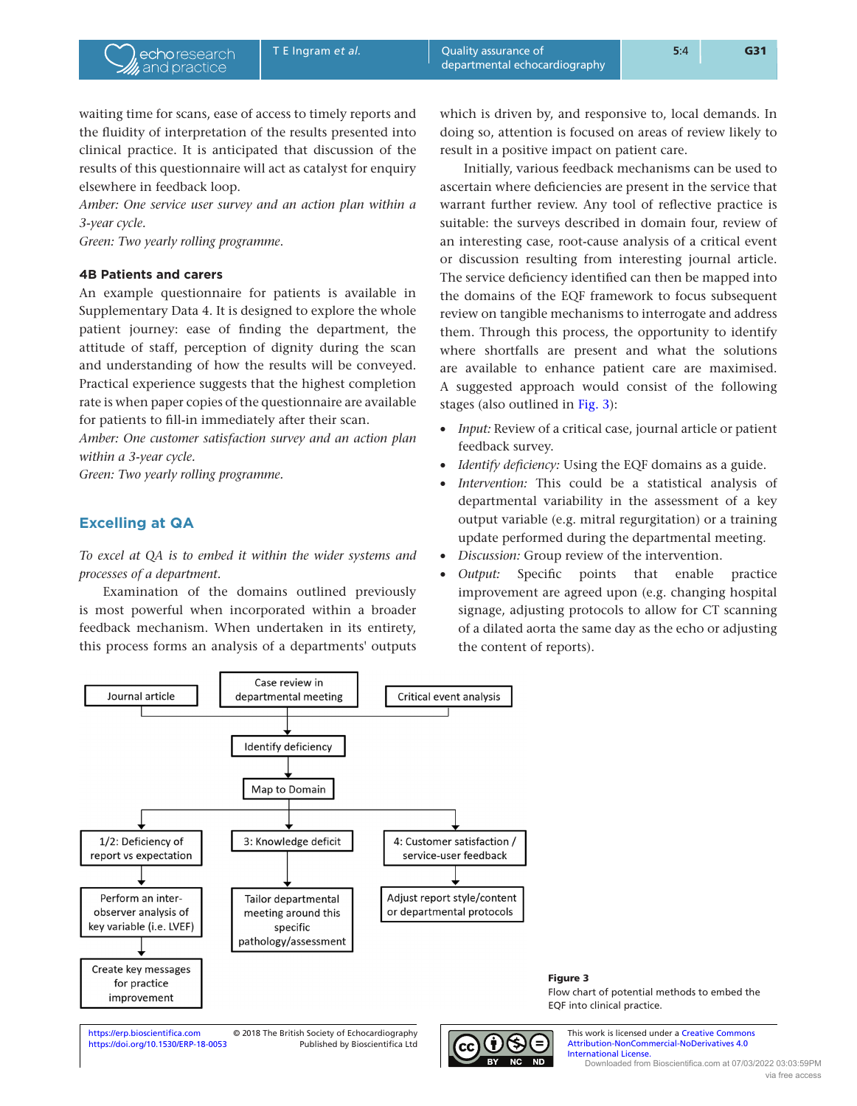waiting time for scans, ease of access to timely reports and the fluidity of interpretation of the results presented into clinical practice. It is anticipated that discussion of the results of this questionnaire will act as catalyst for enquiry elsewhere in feedback loop.

*Amber: One service user survey and an action plan within a 3-year cycle.*

*Green: Two yearly rolling programme*.

## **4B Patients and carers**

An example questionnaire for patients is available in Supplementary Data 4. It is designed to explore the whole patient journey: ease of finding the department, the attitude of staff, perception of dignity during the scan and understanding of how the results will be conveyed. Practical experience suggests that the highest completion rate is when paper copies of the questionnaire are available for patients to fill-in immediately after their scan.

*Amber: One customer satisfaction survey and an action plan within a 3-year cycle.*

*Green: Two yearly rolling programme.*

## **Excelling at QA**

*To excel at QA is to embed it within the wider systems and processes of a department.*

Examination of the domains outlined previously is most powerful when incorporated within a broader feedback mechanism. When undertaken in its entirety, this process forms an analysis of a departments' outputs

which is driven by, and responsive to, local demands. In doing so, attention is focused on areas of review likely to result in a positive impact on patient care.

Initially, various feedback mechanisms can be used to ascertain where deficiencies are present in the service that warrant further review. Any tool of reflective practice is suitable: the surveys described in domain four, review of an interesting case, root-cause analysis of a critical event or discussion resulting from interesting journal article. The service deficiency identified can then be mapped into the domains of the EQF framework to focus subsequent review on tangible mechanisms to interrogate and address them. Through this process, the opportunity to identify where shortfalls are present and what the solutions are available to enhance patient care are maximised. A suggested approach would consist of the following stages (also outlined in Fig. 3):

- *Input:* Review of a critical case, journal article or patient feedback survey.
- *Identify deficiency:* Using the EQF domains as a guide.
- Intervention: This could be a statistical analysis of departmental variability in the assessment of a key output variable (e.g. mitral regurgitation) or a training update performed during the departmental meeting.
- *Discussion:* Group review of the intervention.
- *Output:* Specific points that enable practice improvement are agreed upon (e.g. changing hospital signage, adjusting protocols to allow for CT scanning of a dilated aorta the same day as the echo or adjusting the content of reports).



This work is licensed under a Creative Commons [Attribution-NonCommercial-NoDerivatives 4.0](https://creativecommons.org/licenses/by-nc-nd/4.0/)  [International License.](https://creativecommons.org/licenses/by-nc-nd/4.0/) Downloaded from Bioscientifica.com at 07/03/2022 03:03:59PM via free access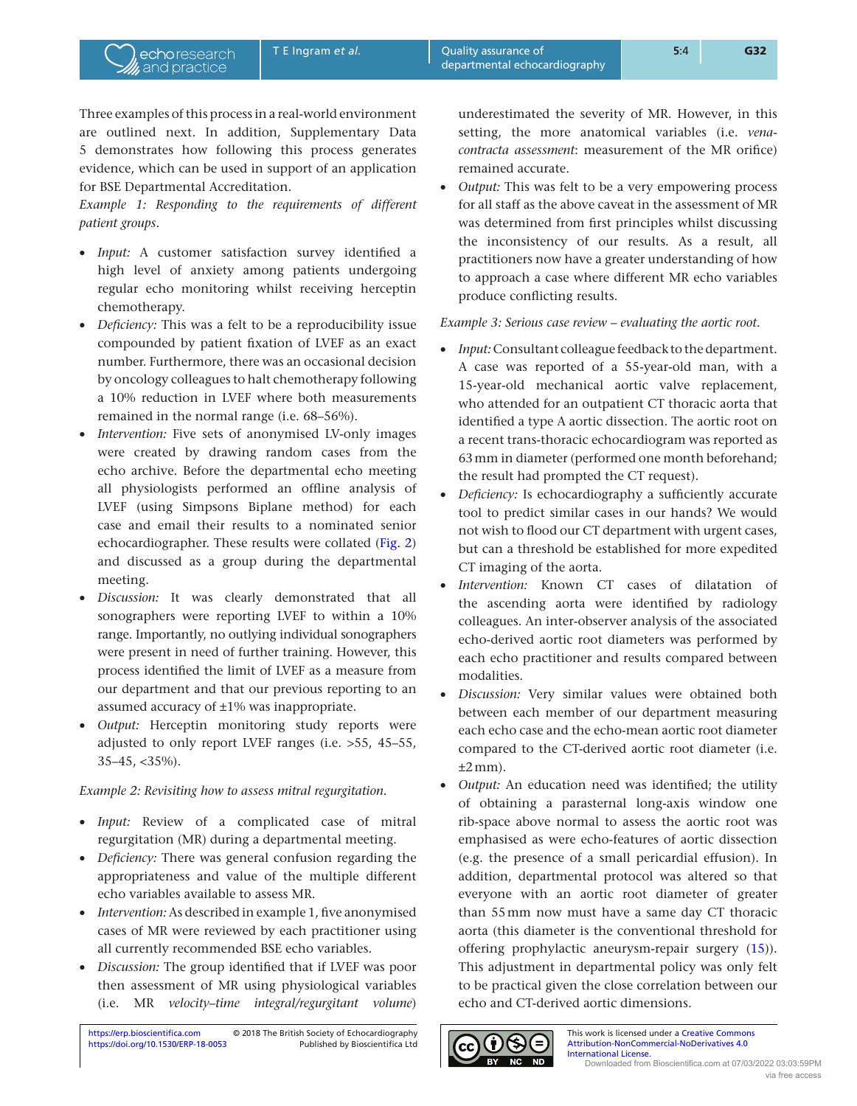Three examples of this process in a real-world environment are outlined next. In addition, Supplementary Data 5 demonstrates how following this process generates evidence, which can be used in support of an application for BSE Departmental Accreditation.

echoresearch and practice

*Example 1: Responding to the requirements of different patient groups.*

- *Input:* A customer satisfaction survey identified a high level of anxiety among patients undergoing regular echo monitoring whilst receiving herceptin chemotherapy.
- *Deficiency:* This was a felt to be a reproducibility issue compounded by patient fixation of LVEF as an exact number. Furthermore, there was an occasional decision by oncology colleagues to halt chemotherapy following a 10% reduction in LVEF where both measurements remained in the normal range (i.e. 68–56%).
- *Intervention:* Five sets of anonymised LV-only images were created by drawing random cases from the echo archive. Before the departmental echo meeting all physiologists performed an offline analysis of LVEF (using Simpsons Biplane method) for each case and email their results to a nominated senior echocardiographer. These results were collated ([Fig. 2\)](#page-4-0) and discussed as a group during the departmental meeting.
- *Discussion:* It was clearly demonstrated that all sonographers were reporting LVEF to within a 10% range. Importantly, no outlying individual sonographers were present in need of further training. However, this process identified the limit of LVEF as a measure from our department and that our previous reporting to an assumed accuracy of ±1% was inappropriate.
- *Output:* Herceptin monitoring study reports were adjusted to only report LVEF ranges (i.e. >55, 45–55, 35–45, <35%).

## *Example 2: Revisiting how to assess mitral regurgitation.*

- *Input:* Review of a complicated case of mitral regurgitation (MR) during a departmental meeting.
- *Deficiency:* There was general confusion regarding the appropriateness and value of the multiple different echo variables available to assess MR.
- *Intervention:* As described in example 1, five anonymised cases of MR were reviewed by each practitioner using all currently recommended BSE echo variables.
- *Discussion:* The group identified that if LVEF was poor then assessment of MR using physiological variables (i.e. MR *velocity–time integral/regurgitant volume*)

underestimated the severity of MR. However, in this setting, the more anatomical variables (i.e. *venacontracta assessment*: measurement of the MR orifice) remained accurate.

• *Output:* This was felt to be a very empowering process for all staff as the above caveat in the assessment of MR was determined from first principles whilst discussing the inconsistency of our results. As a result, all practitioners now have a greater understanding of how to approach a case where different MR echo variables produce conflicting results.

## *Example 3: Serious case review – evaluating the aortic root.*

- *Input:* Consultant colleague feedback to the department. A case was reported of a 55-year-old man, with a 15-year-old mechanical aortic valve replacement, who attended for an outpatient CT thoracic aorta that identified a type A aortic dissection. The aortic root on a recent trans-thoracic echocardiogram was reported as 63mm in diameter (performed one month beforehand; the result had prompted the CT request).
- *Deficiency:* Is echocardiography a sufficiently accurate tool to predict similar cases in our hands? We would not wish to flood our CT department with urgent cases, but can a threshold be established for more expedited CT imaging of the aorta.
- *Intervention:* Known CT cases of dilatation of the ascending aorta were identified by radiology colleagues. An inter-observer analysis of the associated echo-derived aortic root diameters was performed by each echo practitioner and results compared between modalities.
- *Discussion:* Very similar values were obtained both between each member of our department measuring each echo case and the echo-mean aortic root diameter compared to the CT-derived aortic root diameter (i.e.  $\pm 2$  mm).
- *Output:* An education need was identified; the utility of obtaining a parasternal long-axis window one rib-space above normal to assess the aortic root was emphasised as were echo-features of aortic dissection (e.g. the presence of a small pericardial effusion). In addition, departmental protocol was altered so that everyone with an aortic root diameter of greater than 55mm now must have a same day CT thoracic aorta (this diameter is the conventional threshold for offering prophylactic aneurysm-repair surgery [\(15\)](#page-8-15)). This adjustment in departmental policy was only felt to be practical given the close correlation between our echo and CT-derived aortic dimensions.